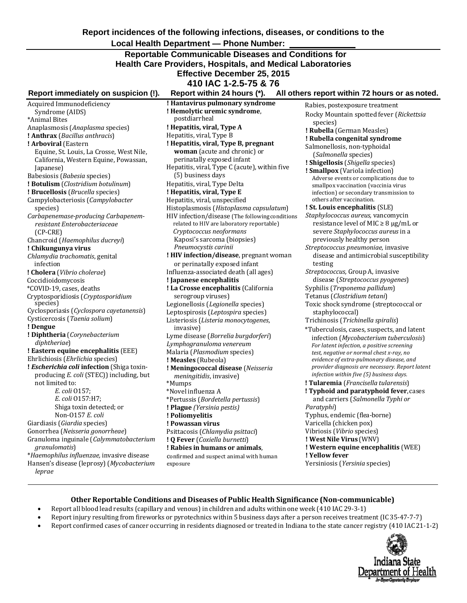**Report incidences of the following infections, diseases, or conditions to the** 

## **Local Health Department — Phone Number:**

# **Reportable Communicable Diseases and Conditions for Health Care Providers, Hospitals, and Medical Laboratories Effective December 25, 2015**

**410 IAC 1-2.5-75 & 76**

# **Report immediately on suspicion (!). Report within 24 hours (\*). All others report within 72 hours or as noted.**

Acquired Immunodeficiency Syndrome (AIDS) \*Animal Bites Anaplasmosis (*Anaplasma* species) **! Anthrax** (*Bacillus anthracis*) **! Arboviral** (Eastern Equine, St. Louis, La Crosse, West Nile, California, Western Equine, Powassan, Japanese) Babesiosis (*Babesia* species) **! Botulism** (*Clostridium botulinum*) **! Brucellosis** (*Brucella* species) Campylobacteriosis (*Campylobacter*  species) *Carbapenemase‐producing Carbapenem‐ resistant Enterobacteriaceae*  (CP‐CRE) Chancroid (*Haemophilus ducreyi*) **! Chikungunya virus** *Chlamydia trachomatis*, genital infection **! Cholera** (*Vibrio cholerae*) Coccidioidomycosis \*COVID-19, cases, deaths Cryptosporidiosis (*Cryptosporidium* species) Cyclosporiasis (*Cyclospora cayetanensis*) Cysticercosis (*Taenia solium*) **! Dengue ! Diphtheria** (*Corynebacterium diphtheriae*) **! Eastern equine encephalitis** (EEE) Ehrlichiosis (*Ehrlichia* species) **!** *Escherichia coli* **infection** (Shiga toxin‐ producing *E. coli* (STEC)) including, but not limited to: *E. coli* O157; *E. coli* O157:H7; Shiga toxin detected; or Non‐O157 *E. coli* Giardiasis (*Giardia* species) Gonorrhea (*Neisseria gonorrheae*) Granuloma inguinale (*Calymmatobacterium granulomatis*) \**Haemophilus influenzae,* invasive disease Hansen's disease (leprosy) (*Mycobacterium leprae*

**! Hantavirus pulmonary syndrome ! Hemolytic uremic syndrome**, postdiarrheal **! Hepatitis, viral, Type A** Hepatitis, viral, Type B **! Hepatitis, viral, Type B, pregnant woman** (acute and chronic) or perinatally exposed infant Hepatitis, viral, Type C (acute), within five (5) business days Hepatitis, viral, Type Delta **! Hepatitis, viral, Type E** Hepatitis, viral, unspecified Histoplasmosis (*Histoplasma capsulatum*) HIV infection/disease (The followingconditions related to HIV are laboratory reportable) *Cryptococcus neoformans* Kaposi's sarcoma (biopsies) *Pneumocystis carinii* **! HIV infection/disease**, pregnant woman or perinatally exposed infant Influenza‐associated death (all ages) **! Japanese encephalitis ! La Crosse encephalitis** (California serogroup viruses) Legionellosis (*Legionella* species) Leptospirosis (*Leptospira* species) Listeriosis (*Listeria monocytogenes*, invasive) Lyme disease (*Borrelia burgdorferi*) *Lymphogranuloma venereum*  Malaria (*Plasmodium* species) **! Measles** (Rubeola) **! Meningococcal disease** (*Neisseria meningitidis*, invasive) \*Mumps \*Novel influenza A \*Pertussis (*Bordetella pertussis*) **! Plague** *(Yersinia pestis)* **! Poliomyelitis ! Powassan virus** Psittacosis (*Chlamydia psittaci*) **! Q Fever** (*Coxiella burnetti*) **! Rabies in humans or animals**, confirmed and suspect animal with human

Rabies, postexposure treatment Rocky Mountain spotted fever (*Rickettsia*  species) **! Rubella** (German Measles) **! Rubella congenital syndrome** Salmonellosis, non‐typhoidal (*Salmonella* species) **! Shigellosis** (*Shigella* species) **! Smallpox** (Variola infection) Adverse events or complications due to smallpox vaccination (vaccinia virus infection) or secondary transmission to others after vaccination. **! St. Louis encephalitis** (SLE) *Staphylococcus aureus,* vancomycin resistance level of MIC  $\geq 8 \mu$ g/mL or severe *Staphylococcus aureus* in a previously healthy person *Streptococcus pneumoniae,* invasive disease and antimicrobial susceptibility testing *Streptococcus,* Group A, invasive disease (*Streptococcus pyogenes*) Syphilis (*Treponema pallidum*) Tetanus (*Clostridium tetani*) Toxic shock syndrome (streptococcal or staphylococcal) Trichinosis (*Trichinella spiralis*) \*Tuberculosis, cases, suspects, and latent infection (*Mycobacterium tuberculosis*) *For latent infection, a positive screening test, negative or normal chest x‐ray, no evidence of extra‐pulmonary disease, and provider diagnosis are necessary. Report latent infection within five (5) business days.* **! Tularemia** (*Francisella tularensis*) **! Typhoid and paratyphoid fever**, cases and carriers (*Salmonella Typhi or Paratyphi*) Typhus, endemic (flea‐borne) Varicella (chicken pox) Vibriosis (*Vibrio* species) **! West Nile Virus** (WNV) **! Western equine encephalitis** (WEE) **! Yellow fever** Yersiniosis (*Yersinia* species)

#### **Other Reportable Conditions and Diseases of Public Health Significance (Non‐communicable)**

• Report all blood lead results (capillary and venous) in children and adults within one week (410 IAC 29‐3‐1)

exposure

- Report injury resulting from fireworks or pyrotechnics within 5 business days after a person receives treatment (IC35‐47‐7‐7)
- Report confirmed cases of cancer occurring in residents diagnosed or treated in Indiana to the state cancer registry (410 IAC 21‐1‐2)